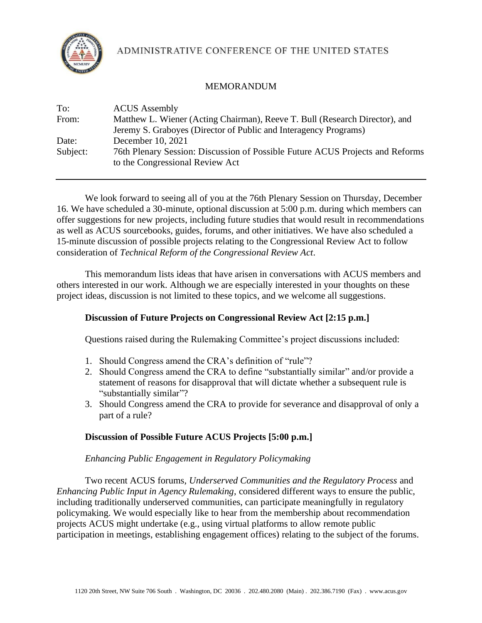

ADMINISTRATIVE CONFERENCE OF THE UNITED STATES

# MEMORANDUM

| To:      | <b>ACUS</b> Assembly                                                                                             |
|----------|------------------------------------------------------------------------------------------------------------------|
| From:    | Matthew L. Wiener (Acting Chairman), Reeve T. Bull (Research Director), and                                      |
|          | Jeremy S. Graboyes (Director of Public and Interagency Programs)                                                 |
| Date:    | December 10, 2021                                                                                                |
| Subject: | 76th Plenary Session: Discussion of Possible Future ACUS Projects and Reforms<br>to the Congressional Review Act |

We look forward to seeing all of you at the 76th Plenary Session on Thursday, December 16. We have scheduled a 30-minute, optional discussion at 5:00 p.m. during which members can offer suggestions for new projects, including future studies that would result in recommendations as well as ACUS sourcebooks, guides, forums, and other initiatives. We have also scheduled a 15-minute discussion of possible projects relating to the Congressional Review Act to follow consideration of *Technical Reform of the Congressional Review Act*.

This memorandum lists ideas that have arisen in conversations with ACUS members and others interested in our work. Although we are especially interested in your thoughts on these project ideas, discussion is not limited to these topics, and we welcome all suggestions.

# **Discussion of Future Projects on Congressional Review Act [2:15 p.m.]**

Questions raised during the Rulemaking Committee's project discussions included:

- 1. Should Congress amend the CRA's definition of "rule"?
- 2. Should Congress amend the CRA to define "substantially similar" and/or provide a statement of reasons for disapproval that will dictate whether a subsequent rule is "substantially similar"?
- 3. Should Congress amend the CRA to provide for severance and disapproval of only a part of a rule?

# **Discussion of Possible Future ACUS Projects [5:00 p.m.]**

# *Enhancing Public Engagement in Regulatory Policymaking*

Two recent ACUS forums, *Underserved Communities and the Regulatory Process* and *Enhancing Public Input in Agency Rulemaking*, considered different ways to ensure the public, including traditionally underserved communities, can participate meaningfully in regulatory policymaking. We would especially like to hear from the membership about recommendation projects ACUS might undertake (e.g., using virtual platforms to allow remote public participation in meetings, establishing engagement offices) relating to the subject of the forums.